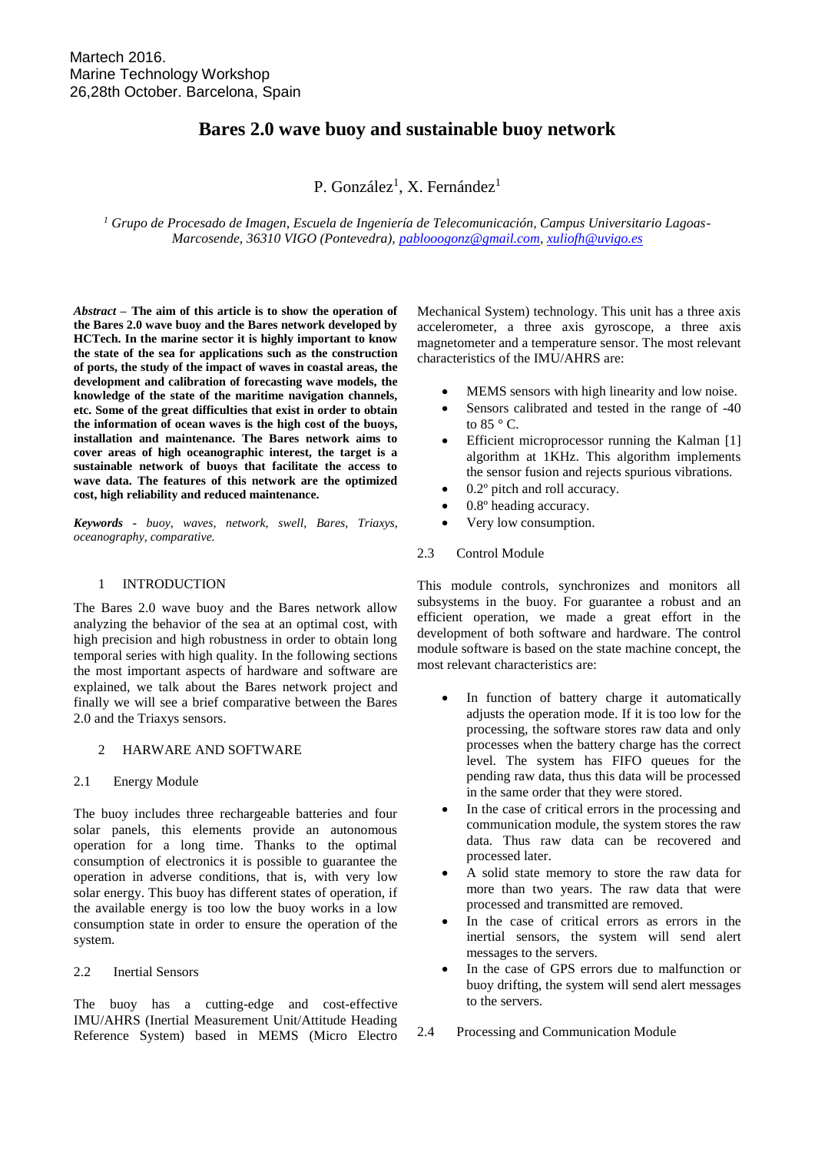# **Bares 2.0 wave buoy and sustainable buoy network**

P. González<sup>1</sup>, X. Fernández<sup>1</sup>

*<sup>1</sup> Grupo de Procesado de Imagen, Escuela de Ingeniería de Telecomunicación, Campus Universitario Lagoas-Marcosende, 36310 VIGO (Pontevedra), [pablooogonz@gmail.com,](mailto:pablooogonz@gmail.com) [xuliofh@uvigo.es](mailto:xuliofh@uvigo.es)*

*Abstract –* **The aim of this article is to show the operation of the Bares 2.0 wave buoy and the Bares network developed by HCTech. In the marine sector it is highly important to know the state of the sea for applications such as the construction of ports, the study of the impact of waves in coastal areas, the development and calibration of forecasting wave models, the knowledge of the state of the maritime navigation channels, etc. Some of the great difficulties that exist in order to obtain the information of ocean waves is the high cost of the buoys, installation and maintenance. The Bares network aims to cover areas of high oceanographic interest, the target is a sustainable network of buoys that facilitate the access to wave data. The features of this network are the optimized cost, high reliability and reduced maintenance.**

*Keywords - buoy, waves, network, swell, Bares, Triaxys, oceanography, comparative.*

### 1 INTRODUCTION

The Bares 2.0 wave buoy and the Bares network allow analyzing the behavior of the sea at an optimal cost, with high precision and high robustness in order to obtain long temporal series with high quality. In the following sections the most important aspects of hardware and software are explained, we talk about the Bares network project and finally we will see a brief comparative between the Bares 2.0 and the Triaxys sensors.

### 2 HARWARE AND SOFTWARE

#### 2.1 Energy Module

The buoy includes three rechargeable batteries and four solar panels, this elements provide an autonomous operation for a long time. Thanks to the optimal consumption of electronics it is possible to guarantee the operation in adverse conditions, that is, with very low solar energy. This buoy has different states of operation, if the available energy is too low the buoy works in a low consumption state in order to ensure the operation of the system.

### 2.2 Inertial Sensors

The buoy has a cutting-edge and cost-effective IMU/AHRS (Inertial Measurement Unit/Attitude Heading Reference System) based in MEMS (Micro Electro Mechanical System) technology. This unit has a three axis accelerometer, a three axis gyroscope, a three axis magnetometer and a temperature sensor. The most relevant characteristics of the IMU/AHRS are:

- MEMS sensors with high linearity and low noise.
- Sensors calibrated and tested in the range of -40 to  $85 \degree$  C.
- Efficient microprocessor running the Kalman [1] algorithm at 1KHz. This algorithm implements the sensor fusion and rejects spurious vibrations.
- 0.2° pitch and roll accuracy.
- 0.8º heading accuracy.
- Very low consumption.
- 2.3 Control Module

This module controls, synchronizes and monitors all subsystems in the buoy. For guarantee a robust and an efficient operation, we made a great effort in the development of both software and hardware. The control module software is based on the state machine concept, the most relevant characteristics are:

- In function of battery charge it automatically adjusts the operation mode. If it is too low for the processing, the software stores raw data and only processes when the battery charge has the correct level. The system has FIFO queues for the pending raw data, thus this data will be processed in the same order that they were stored.
- In the case of critical errors in the processing and communication module, the system stores the raw data. Thus raw data can be recovered and processed later.
- A solid state memory to store the raw data for more than two years. The raw data that were processed and transmitted are removed.
- In the case of critical errors as errors in the inertial sensors, the system will send alert messages to the servers.
- In the case of GPS errors due to malfunction or buoy drifting, the system will send alert messages to the servers.
- 2.4 Processing and Communication Module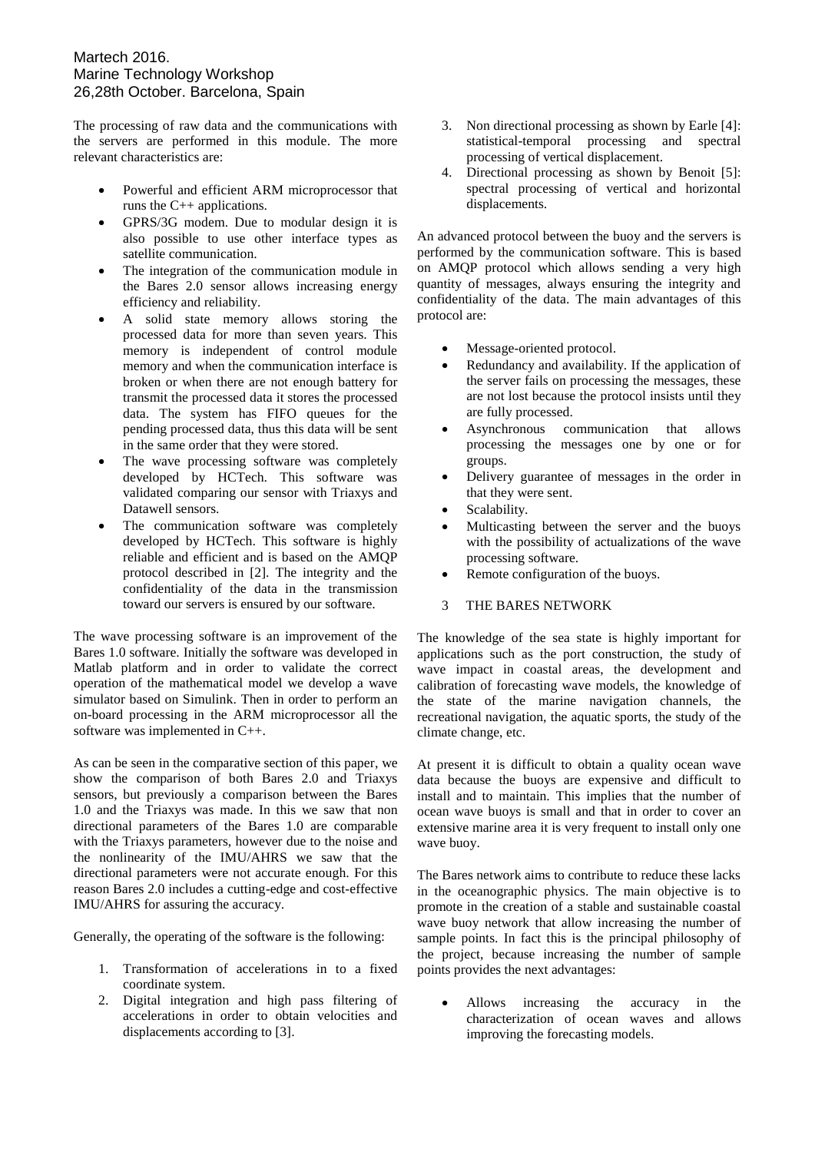# Martech 2016. Marine Technology Workshop 26,28th October. Barcelona, Spain

The processing of raw data and the communications with the servers are performed in this module. The more relevant characteristics are:

- Powerful and efficient ARM microprocessor that runs the C++ applications.
- GPRS/3G modem. Due to modular design it is also possible to use other interface types as satellite communication.
- The integration of the communication module in the Bares 2.0 sensor allows increasing energy efficiency and reliability.
- A solid state memory allows storing the processed data for more than seven years. This memory is independent of control module memory and when the communication interface is broken or when there are not enough battery for transmit the processed data it stores the processed data. The system has FIFO queues for the pending processed data, thus this data will be sent in the same order that they were stored.
- The wave processing software was completely developed by HCTech. This software was validated comparing our sensor with Triaxys and Datawell sensors.
- The communication software was completely developed by HCTech. This software is highly reliable and efficient and is based on the AMQP protocol described in [2]. The integrity and the confidentiality of the data in the transmission toward our servers is ensured by our software.

The wave processing software is an improvement of the Bares 1.0 software. Initially the software was developed in Matlab platform and in order to validate the correct operation of the mathematical model we develop a wave simulator based on Simulink. Then in order to perform an on-board processing in the ARM microprocessor all the software was implemented in C++.

As can be seen in the comparative section of this paper, we show the comparison of both Bares 2.0 and Triaxys sensors, but previously a comparison between the Bares 1.0 and the Triaxys was made. In this we saw that non directional parameters of the Bares 1.0 are comparable with the Triaxys parameters, however due to the noise and the nonlinearity of the IMU/AHRS we saw that the directional parameters were not accurate enough. For this reason Bares 2.0 includes a cutting-edge and cost-effective IMU/AHRS for assuring the accuracy.

Generally, the operating of the software is the following:

- 1. Transformation of accelerations in to a fixed coordinate system.
- 2. Digital integration and high pass filtering of accelerations in order to obtain velocities and displacements according to [3].
- 3. Non directional processing as shown by Earle [4]: statistical-temporal processing and spectral processing of vertical displacement.
- 4. Directional processing as shown by Benoit [5]: spectral processing of vertical and horizontal displacements.

An advanced protocol between the buoy and the servers is performed by the communication software. This is based on AMQP protocol which allows sending a very high quantity of messages, always ensuring the integrity and confidentiality of the data. The main advantages of this protocol are:

- Message-oriented protocol.
- Redundancy and availability. If the application of the server fails on processing the messages, these are not lost because the protocol insists until they are fully processed.
- Asynchronous communication that allows processing the messages one by one or for groups.
- Delivery guarantee of messages in the order in that they were sent.
- Scalability.
- Multicasting between the server and the buoys with the possibility of actualizations of the wave processing software.
- Remote configuration of the buoys.
- 3 THE BARES NETWORK

The knowledge of the sea state is highly important for applications such as the port construction, the study of wave impact in coastal areas, the development and calibration of forecasting wave models, the knowledge of the state of the marine navigation channels, the recreational navigation, the aquatic sports, the study of the climate change, etc.

At present it is difficult to obtain a quality ocean wave data because the buoys are expensive and difficult to install and to maintain. This implies that the number of ocean wave buoys is small and that in order to cover an extensive marine area it is very frequent to install only one wave buoy.

The Bares network aims to contribute to reduce these lacks in the oceanographic physics. The main objective is to promote in the creation of a stable and sustainable coastal wave buoy network that allow increasing the number of sample points. In fact this is the principal philosophy of the project, because increasing the number of sample points provides the next advantages:

 Allows increasing the accuracy in the characterization of ocean waves and allows improving the forecasting models.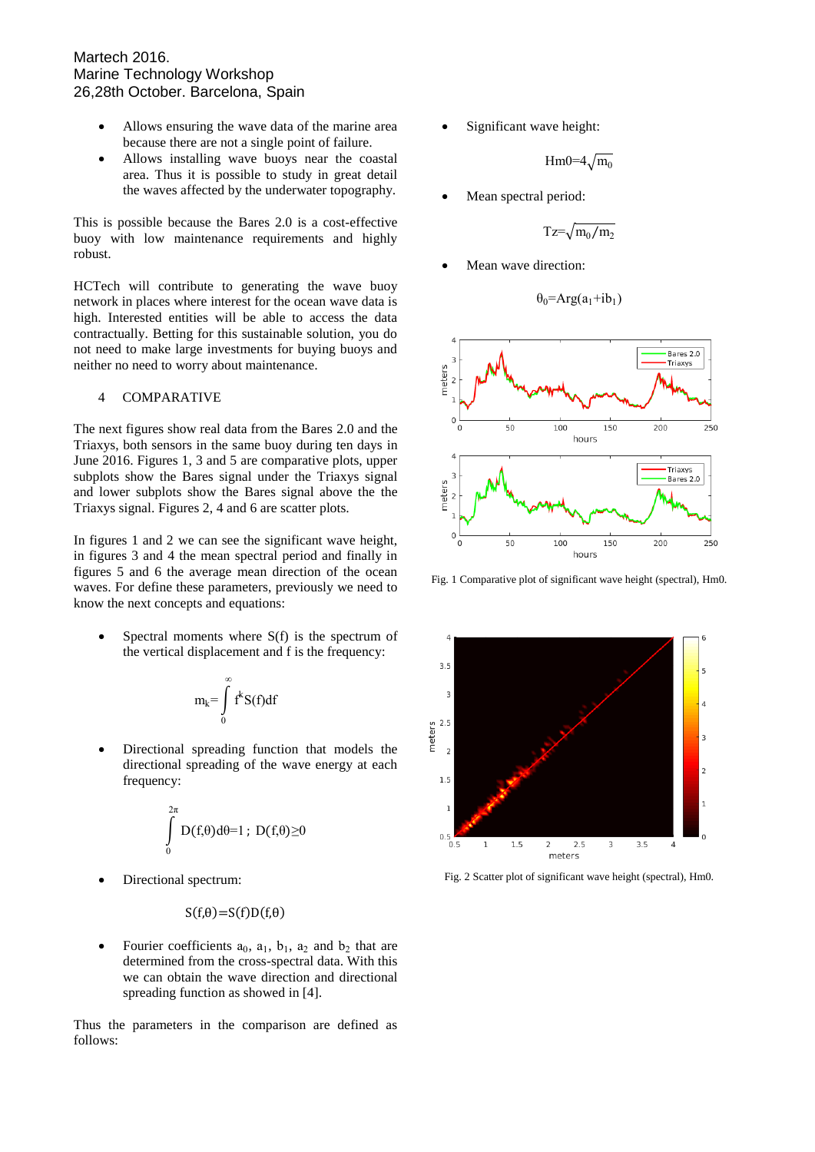### Martech 2016. Marine Technology Workshop 26,28th October. Barcelona, Spain

- Allows ensuring the wave data of the marine area because there are not a single point of failure.
- Allows installing wave buoys near the coastal area. Thus it is possible to study in great detail the waves affected by the underwater topography.

This is possible because the Bares 2.0 is a cost-effective buoy with low maintenance requirements and highly robust.

HCTech will contribute to generating the wave buoy network in places where interest for the ocean wave data is high. Interested entities will be able to access the data contractually. Betting for this sustainable solution, you do not need to make large investments for buying buoys and neither no need to worry about maintenance.

## 4 COMPARATIVE

The next figures show real data from the Bares 2.0 and the Triaxys, both sensors in the same buoy during ten days in June 2016. Figures 1, 3 and 5 are comparative plots, upper subplots show the Bares signal under the Triaxys signal and lower subplots show the Bares signal above the the Triaxys signal. Figures 2, 4 and 6 are scatter plots.

In figures 1 and 2 we can see the significant wave height, in figures 3 and 4 the mean spectral period and finally in figures 5 and 6 the average mean direction of the ocean waves. For define these parameters, previously we need to know the next concepts and equations:

 Spectral moments where S(f) is the spectrum of the vertical displacement and f is the frequency:

$$
m_k = \int\limits_0^\infty f^k S(f) df
$$

 Directional spreading function that models the directional spreading of the wave energy at each frequency:

$$
\int\limits_0^{2\pi} D(f_t\theta)d\theta=1~;~D(f_t\theta){\ge}0
$$

Directional spectrum:

$$
S(f,\theta)=S(f)D(f,\theta)
$$

• Fourier coefficients  $a_0$ ,  $a_1$ ,  $b_1$ ,  $a_2$  and  $b_2$  that are determined from the cross-spectral data. With this we can obtain the wave direction and directional spreading function as showed in [4].

Thus the parameters in the comparison are defined as follows:

Significant wave height:

 $Hm0=4\sqrt{m_0}$ 

Mean spectral period:

$$
Tz = \sqrt{m_0/m_2}
$$

Mean wave direction:

$$
\theta_0 = \text{Arg}(a_1 + ib_1)
$$



Fig. 1 Comparative plot of significant wave height (spectral), Hm0.



Fig. 2 Scatter plot of significant wave height (spectral), Hm0.